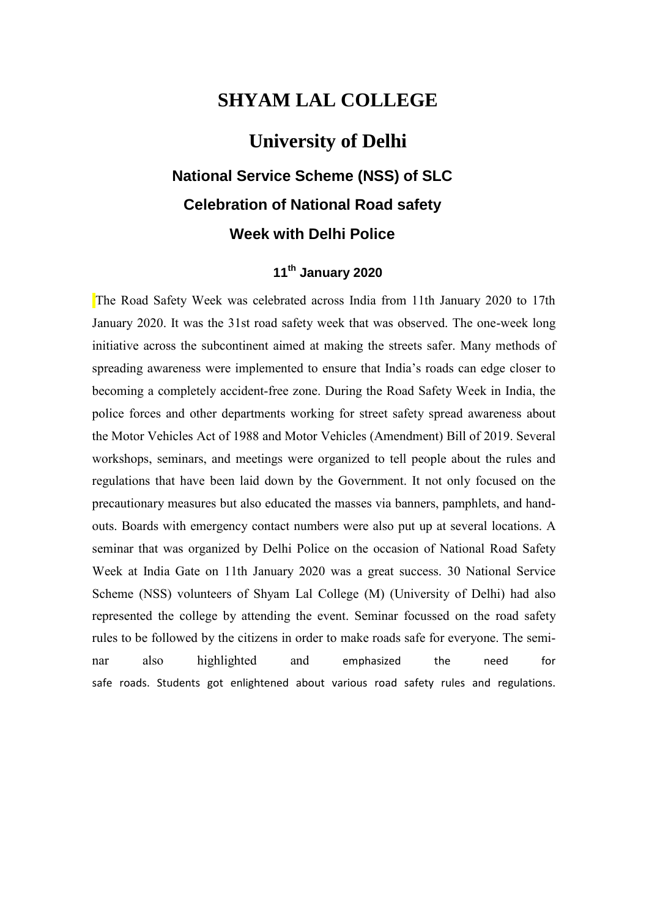## **SHYAM LAL COLLEGE**

## **University of Delhi National Service Scheme (NSS) of SLC Celebration of National Road safety Week with Delhi Police**

## **11th January 2020**

 The Road Safety Week was celebrated across India from 11th January 2020 to 17th January 2020. It was the 31st road safety week that was observed. The one-week long initiative across the subcontinent aimed at making the streets safer. Many methods of spreading awareness were implemented to ensure that India's roads can edge closer to becoming a completely accident-free zone. During the Road Safety Week in India, the police forces and other departments working for street safety spread awareness about the Motor Vehicles Act of 1988 and Motor Vehicles (Amendment) Bill of 2019. Several workshops, seminars, and meetings were organized to tell people about the rules and regulations that have been laid down by the Government. It not only focused on the precautionary measures but also educated the masses via banners, pamphlets, and handouts. Boards with emergency contact numbers were also put up at several locations. A seminar that was organized by Delhi Police on the occasion of National Road Safety Week at India Gate on 11th January 2020 was a great success. 30 National Service Scheme (NSS) volunteers of Shyam Lal College (M) (University of Delhi) had also represented the college by attending the event. Seminar focussed on the road safety rules to be followed by the citizens in order to make roads safe for everyone. The seminar also highlighted and emphasized the need for safe roads. Students got enlightened about various road safety rules and regulations.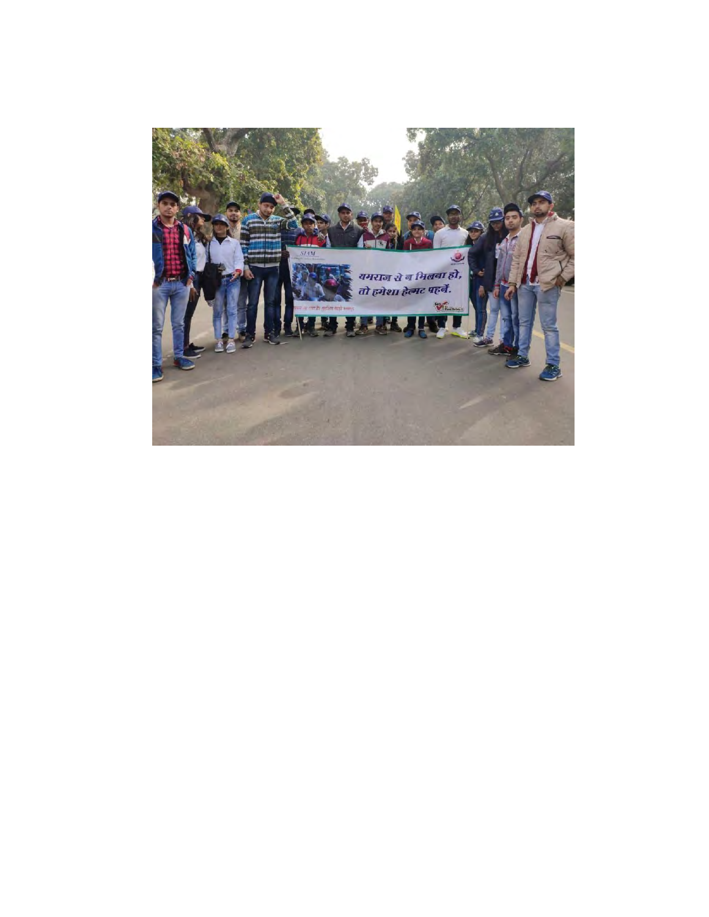